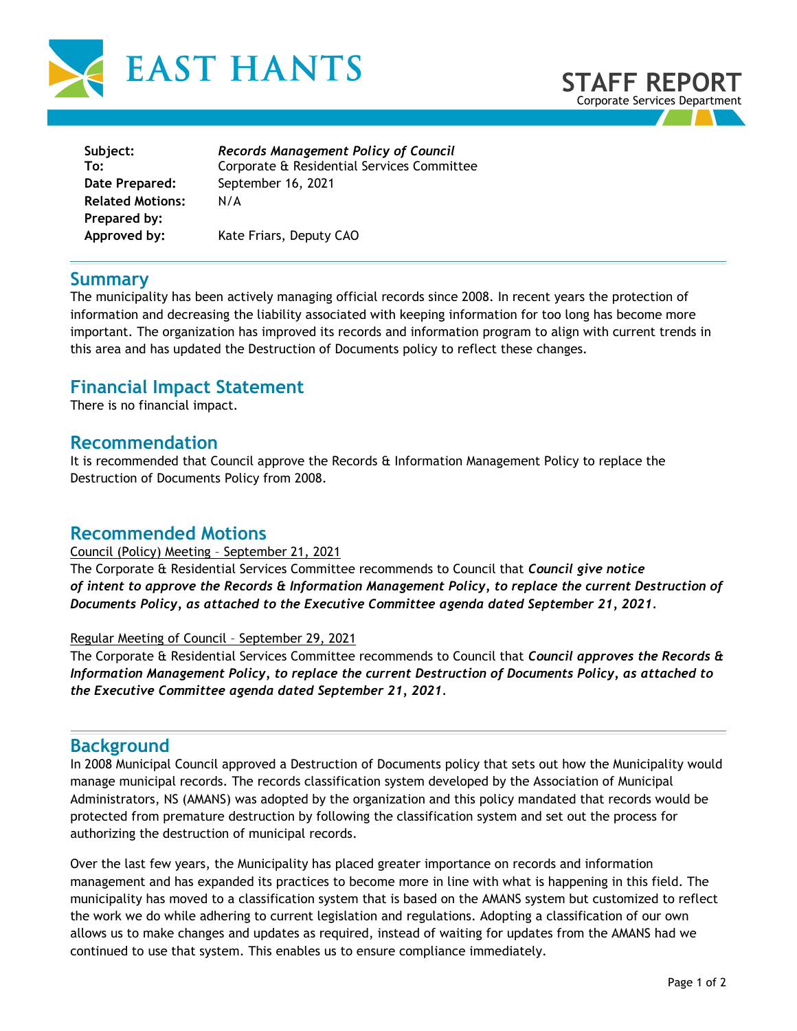



| Records Management Policy of Council<br>Corporate & Residential Services Committee |
|------------------------------------------------------------------------------------|
|                                                                                    |
| September 16, 2021                                                                 |
| N/A                                                                                |
|                                                                                    |
| Kate Friars, Deputy CAO                                                            |
|                                                                                    |

### **Summary**

The municipality has been actively managing official records since 2008. In recent years the protection of information and decreasing the liability associated with keeping information for too long has become more important. The organization has improved its records and information program to align with current trends in this area and has updated the Destruction of Documents policy to reflect these changes.

# **Financial Impact Statement**

There is no financial impact.

# **Recommendation**

It is recommended that Council approve the Records & Information Management Policy to replace the Destruction of Documents Policy from 2008.

# **Recommended Motions**

Council (Policy) Meeting – September 21, 2021

The Corporate & Residential Services Committee recommends to Council that *Council give notice of intent to approve the Records & Information Management Policy, to replace the current Destruction of Documents Policy, as attached to the Executive Committee agenda dated September 21, 2021.*

#### Regular Meeting of Council – September 29, 2021

The Corporate & Residential Services Committee recommends to Council that *Council approves the Records & Information Management Policy, to replace the current Destruction of Documents Policy, as attached to the Executive Committee agenda dated September 21, 2021.*

# **Background**

In 2008 Municipal Council approved a Destruction of Documents policy that sets out how the Municipality would manage municipal records. The records classification system developed by the Association of Municipal Administrators, NS (AMANS) was adopted by the organization and this policy mandated that records would be protected from premature destruction by following the classification system and set out the process for authorizing the destruction of municipal records.

Over the last few years, the Municipality has placed greater importance on records and information management and has expanded its practices to become more in line with what is happening in this field. The municipality has moved to a classification system that is based on the AMANS system but customized to reflect the work we do while adhering to current legislation and regulations. Adopting a classification of our own allows us to make changes and updates as required, instead of waiting for updates from the AMANS had we continued to use that system. This enables us to ensure compliance immediately.